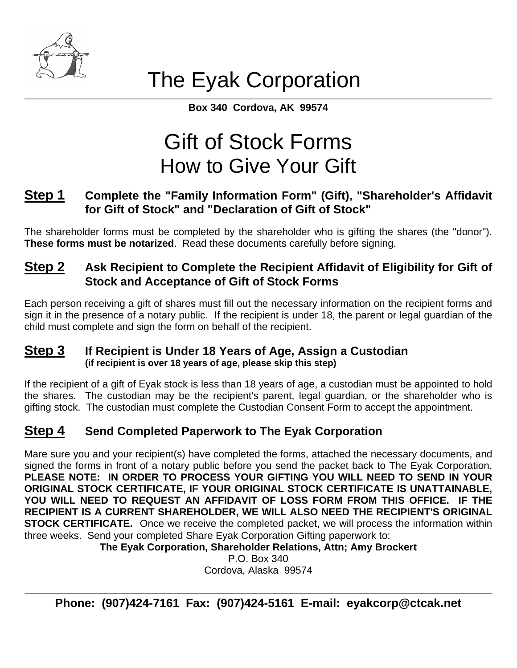

# The Eyak Corporation

**Box 340 Cordova, AK 99574** 

# Gift of Stock Forms How to Give Your Gift

## **Step 1 Complete the "Family Information Form" (Gift), "Shareholder's Affidavit for Gift of Stock" and "Declaration of Gift of Stock"**

The shareholder forms must be completed by the shareholder who is gifting the shares (the "donor"). **These forms must be notarized**. Read these documents carefully before signing.

## **Step 2 Ask Recipient to Complete the Recipient Affidavit of Eligibility for Gift of Stock and Acceptance of Gift of Stock Forms**

Each person receiving a gift of shares must fill out the necessary information on the recipient forms and sign it in the presence of a notary public. If the recipient is under 18, the parent or legal guardian of the child must complete and sign the form on behalf of the recipient.

# **Step 3** If Recipient is Under 18 Years of Age, Assign a Custodian (if recipient is over 18 years of age, please skip this step)

If the recipient of a gift of Eyak stock is less than 18 years of age, a custodian must be appointed to hold the shares. The custodian may be the recipient's parent, legal guardian, or the shareholder who is gifting stock. The custodian must complete the Custodian Consent Form to accept the appointment.

# **Step 4 Send Completed Paperwork to The Eyak Corporation**

Mare sure you and your recipient(s) have completed the forms, attached the necessary documents, and signed the forms in front of a notary public before you send the packet back to The Eyak Corporation. **PLEASE NOTE: IN ORDER TO PROCESS YOUR GIFTING YOU WILL NEED TO SEND IN YOUR ORIGINAL STOCK CERTIFICATE, IF YOUR ORIGINAL STOCK CERTIFICATE IS UNATTAINABLE, YOU WILL NEED TO REQUEST AN AFFIDAVIT OF LOSS FORM FROM THIS OFFICE. IF THE RECIPIENT IS A CURRENT SHAREHOLDER, WE WILL ALSO NEED THE RECIPIENT'S ORIGINAL STOCK CERTIFICATE.** Once we receive the completed packet, we will process the information within three weeks. Send your completed Share Eyak Corporation Gifting paperwork to:

**The Eyak Corporation, Shareholder Relations, Attn; Amy Brockert** 

P.O. Box 340 Cordova, Alaska 99574

**Phone: (907)424-7161 Fax: (907)424-5161 E-mail: eyakcorp@ctcak.net**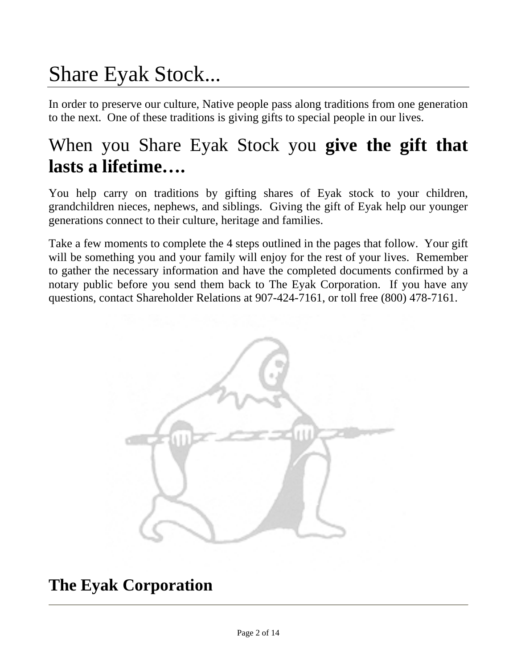# Share Eyak Stock...

In order to preserve our culture, Native people pass along traditions from one generation to the next. One of these traditions is giving gifts to special people in our lives.

# When you Share Eyak Stock you **give the gift that lasts a lifetime….**

You help carry on traditions by gifting shares of Eyak stock to your children, grandchildren nieces, nephews, and siblings. Giving the gift of Eyak help our younger generations connect to their culture, heritage and families.

Take a few moments to complete the 4 steps outlined in the pages that follow. Your gift will be something you and your family will enjoy for the rest of your lives. Remember to gather the necessary information and have the completed documents confirmed by a notary public before you send them back to The Eyak Corporation. If you have any questions, contact Shareholder Relations at 907-424-7161, or toll free (800) 478-7161.



**The Eyak Corporation**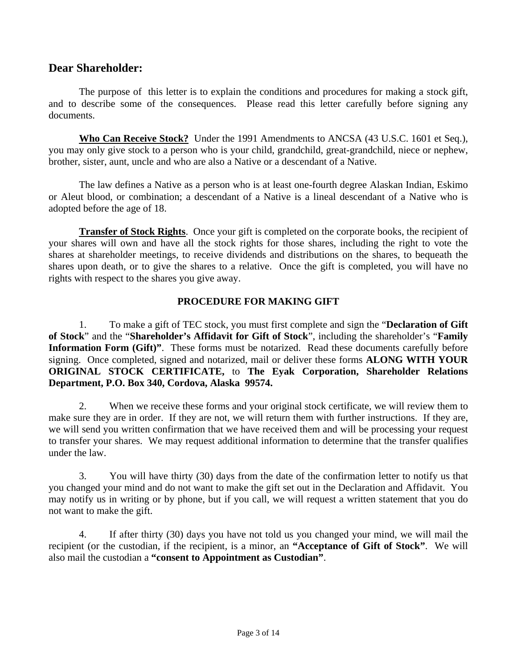#### **Dear Shareholder:**

The purpose of this letter is to explain the conditions and procedures for making a stock gift, and to describe some of the consequences. Please read this letter carefully before signing any documents.

**Who Can Receive Stock?** Under the 1991 Amendments to ANCSA (43 U.S.C. 1601 et Seq.), you may only give stock to a person who is your child, grandchild, great-grandchild, niece or nephew, brother, sister, aunt, uncle and who are also a Native or a descendant of a Native.

 The law defines a Native as a person who is at least one-fourth degree Alaskan Indian, Eskimo or Aleut blood, or combination; a descendant of a Native is a lineal descendant of a Native who is adopted before the age of 18.

**Transfer of Stock Rights**. Once your gift is completed on the corporate books, the recipient of your shares will own and have all the stock rights for those shares, including the right to vote the shares at shareholder meetings, to receive dividends and distributions on the shares, to bequeath the shares upon death, or to give the shares to a relative. Once the gift is completed, you will have no rights with respect to the shares you give away.

#### **PROCEDURE FOR MAKING GIFT**

 1. To make a gift of TEC stock, you must first complete and sign the "**Declaration of Gift of Stock**" and the "**Shareholder's Affidavit for Gift of Stock**", including the shareholder's "**Family Information Form (Gift)"**. These forms must be notarized. Read these documents carefully before signing. Once completed, signed and notarized, mail or deliver these forms **ALONG WITH YOUR ORIGINAL STOCK CERTIFICATE,** to **The Eyak Corporation, Shareholder Relations Department, P.O. Box 340, Cordova, Alaska 99574.** 

 2. When we receive these forms and your original stock certificate, we will review them to make sure they are in order. If they are not, we will return them with further instructions. If they are, we will send you written confirmation that we have received them and will be processing your request to transfer your shares. We may request additional information to determine that the transfer qualifies under the law.

 3. You will have thirty (30) days from the date of the confirmation letter to notify us that you changed your mind and do not want to make the gift set out in the Declaration and Affidavit. You may notify us in writing or by phone, but if you call, we will request a written statement that you do not want to make the gift.

 4. If after thirty (30) days you have not told us you changed your mind, we will mail the recipient (or the custodian, if the recipient, is a minor, an **"Acceptance of Gift of Stock"**. We will also mail the custodian a **"consent to Appointment as Custodian"**.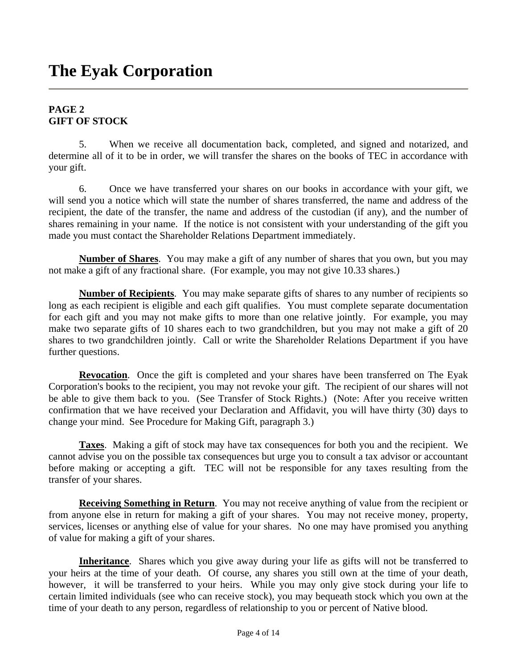#### **PAGE 2 GIFT OF STOCK**

5. When we receive all documentation back, completed, and signed and notarized, and determine all of it to be in order, we will transfer the shares on the books of TEC in accordance with your gift.

6. Once we have transferred your shares on our books in accordance with your gift, we will send you a notice which will state the number of shares transferred, the name and address of the recipient, the date of the transfer, the name and address of the custodian (if any), and the number of shares remaining in your name. If the notice is not consistent with your understanding of the gift you made you must contact the Shareholder Relations Department immediately.

**Number of Shares**. You may make a gift of any number of shares that you own, but you may not make a gift of any fractional share. (For example, you may not give 10.33 shares.)

**Number of Recipients**. You may make separate gifts of shares to any number of recipients so long as each recipient is eligible and each gift qualifies. You must complete separate documentation for each gift and you may not make gifts to more than one relative jointly. For example, you may make two separate gifts of 10 shares each to two grandchildren, but you may not make a gift of 20 shares to two grandchildren jointly. Call or write the Shareholder Relations Department if you have further questions.

**Revocation**. Once the gift is completed and your shares have been transferred on The Eyak Corporation's books to the recipient, you may not revoke your gift. The recipient of our shares will not be able to give them back to you. (See Transfer of Stock Rights.) (Note: After you receive written confirmation that we have received your Declaration and Affidavit, you will have thirty (30) days to change your mind. See Procedure for Making Gift, paragraph 3.)

**Taxes**. Making a gift of stock may have tax consequences for both you and the recipient. We cannot advise you on the possible tax consequences but urge you to consult a tax advisor or accountant before making or accepting a gift. TEC will not be responsible for any taxes resulting from the transfer of your shares.

**Receiving Something in Return**. You may not receive anything of value from the recipient or from anyone else in return for making a gift of your shares. You may not receive money, property, services, licenses or anything else of value for your shares. No one may have promised you anything of value for making a gift of your shares.

**Inheritance**. Shares which you give away during your life as gifts will not be transferred to your heirs at the time of your death. Of course, any shares you still own at the time of your death, however, it will be transferred to your heirs. While you may only give stock during your life to certain limited individuals (see who can receive stock), you may bequeath stock which you own at the time of your death to any person, regardless of relationship to you or percent of Native blood.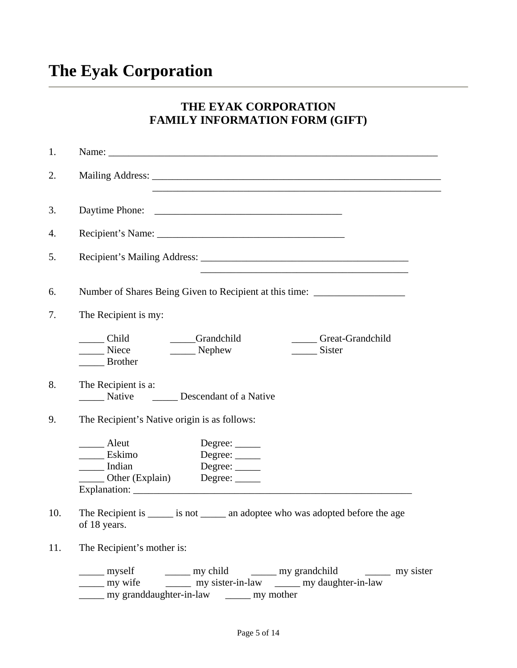# **The Eyak Corporation**

### **THE EYAK CORPORATION FAMILY INFORMATION FORM (GIFT)**

| 1.  |                                                                                                                                                                                                           |
|-----|-----------------------------------------------------------------------------------------------------------------------------------------------------------------------------------------------------------|
| 2.  | <u> 1989 - Johann Stoff, amerikansk politiker (d. 1989)</u>                                                                                                                                               |
| 3.  |                                                                                                                                                                                                           |
| 4.  |                                                                                                                                                                                                           |
| 5.  |                                                                                                                                                                                                           |
| 6.  | Number of Shares Being Given to Recipient at this time: ________________________                                                                                                                          |
| 7.  | The Recipient is my:                                                                                                                                                                                      |
|     | Grandchild<br>_____ Child<br>Great-Grandchild<br>Niece<br>______ Nephew<br>Sister<br><b>Brother</b>                                                                                                       |
| 8.  | The Recipient is a:<br>Native<br><b>Descendant of a Native</b>                                                                                                                                            |
| 9.  | The Recipient's Native origin is as follows:                                                                                                                                                              |
|     | Aleut<br>Degree: $\_\_$<br>_____ Eskimo<br>Degree: _____<br>Indian<br>Degree: $\_\_$<br>_______ Other (Explain) Degree: ______                                                                            |
| 10. | The Recipient is _______ is not ________ an adoptee who was adopted before the age<br>of 18 years.                                                                                                        |
| 11. | The Recipient's mother is:                                                                                                                                                                                |
|     | ______ myself __________ my child _________ my grandchild _________ my sister<br>______ my wife _________ my sister-in-law _______ my daughter-in-law<br>______ my granddaughter-in-law _______ my mother |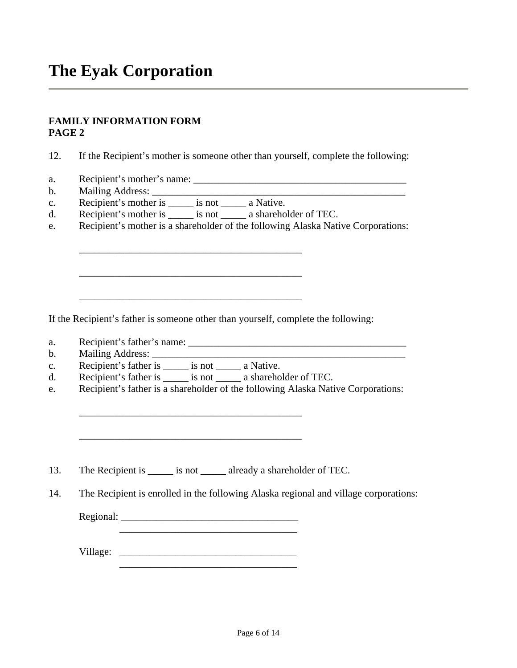#### **FAMILY INFORMATION FORM PAGE 2**

12. If the Recipient's mother is someone other than yourself, complete the following:

- a. Recipient's mother's name: \_\_\_\_\_\_\_\_\_\_\_\_\_\_\_\_\_\_\_\_\_\_\_\_\_\_\_\_\_\_\_\_\_\_\_\_\_\_\_\_\_\_
- b. Mailing Address:
- c. Recipient's mother is \_\_\_\_\_ is not \_\_\_\_\_ a Native.

\_\_\_\_\_\_\_\_\_\_\_\_\_\_\_\_\_\_\_\_\_\_\_\_\_\_\_\_\_\_\_\_\_\_\_\_\_\_\_\_\_\_\_\_

\_\_\_\_\_\_\_\_\_\_\_\_\_\_\_\_\_\_\_\_\_\_\_\_\_\_\_\_\_\_\_\_\_\_\_\_\_\_\_\_\_\_\_\_

- d. Recipient's mother is \_\_\_\_\_ is not \_\_\_\_\_ a shareholder of TEC.
- e. Recipient's mother is a shareholder of the following Alaska Native Corporations:

If the Recipient's father is someone other than yourself, complete the following:

\_\_\_\_\_\_\_\_\_\_\_\_\_\_\_\_\_\_\_\_\_\_\_\_\_\_\_\_\_\_\_\_\_\_\_\_\_\_\_\_\_\_\_\_

- a. Recipient's father's name: \_\_\_\_\_\_\_\_\_\_\_\_\_\_\_\_\_\_\_\_\_\_\_\_\_\_\_\_\_\_\_\_\_\_\_\_\_\_\_\_\_\_\_
- b. Mailing Address:
- c. Recipient's father is \_\_\_\_\_ is not \_\_\_\_\_ a Native.
- d. Recipient's father is is not a shareholder of TEC.

\_\_\_\_\_\_\_\_\_\_\_\_\_\_\_\_\_\_\_\_\_\_\_\_\_\_\_\_\_\_\_\_\_\_\_\_\_\_\_\_\_\_\_\_

e. Recipient's father is a shareholder of the following Alaska Native Corporations:

13. The Recipient is \_\_\_\_\_\_ is not \_\_\_\_\_\_ already a shareholder of TEC.

14. The Recipient is enrolled in the following Alaska regional and village corporations:

Regional: \_\_\_\_\_\_\_\_\_\_\_\_\_\_\_\_\_\_\_\_\_\_\_\_\_\_\_\_\_\_\_\_\_\_\_

 $\overline{\phantom{a}}$  ,  $\overline{\phantom{a}}$  ,  $\overline{\phantom{a}}$  ,  $\overline{\phantom{a}}$  ,  $\overline{\phantom{a}}$  ,  $\overline{\phantom{a}}$  ,  $\overline{\phantom{a}}$  ,  $\overline{\phantom{a}}$  ,  $\overline{\phantom{a}}$  ,  $\overline{\phantom{a}}$  ,  $\overline{\phantom{a}}$  ,  $\overline{\phantom{a}}$  ,  $\overline{\phantom{a}}$  ,  $\overline{\phantom{a}}$  ,  $\overline{\phantom{a}}$  ,  $\overline{\phantom{a}}$ 

Village: \_\_\_\_\_\_\_\_\_\_\_\_\_\_\_\_\_\_\_\_\_\_\_\_\_\_\_\_\_\_\_\_\_\_\_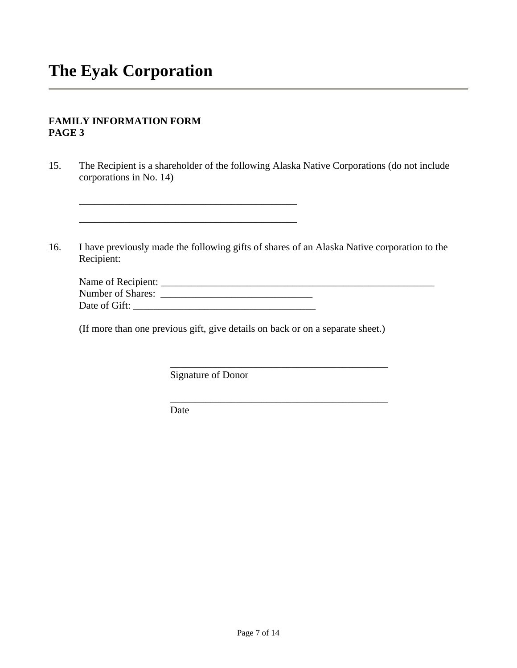#### **FAMILY INFORMATION FORM PAGE 3**

- 15. The Recipient is a shareholder of the following Alaska Native Corporations (do not include corporations in No. 14)
- 16. I have previously made the following gifts of shares of an Alaska Native corporation to the Recipient:

| Name of Recipient: |  |
|--------------------|--|
| Number of Shares:  |  |
| Date of Gift:      |  |

 $\overline{\phantom{a}}$  ,  $\overline{\phantom{a}}$  ,  $\overline{\phantom{a}}$  ,  $\overline{\phantom{a}}$  ,  $\overline{\phantom{a}}$  ,  $\overline{\phantom{a}}$  ,  $\overline{\phantom{a}}$  ,  $\overline{\phantom{a}}$  ,  $\overline{\phantom{a}}$  ,  $\overline{\phantom{a}}$  ,  $\overline{\phantom{a}}$  ,  $\overline{\phantom{a}}$  ,  $\overline{\phantom{a}}$  ,  $\overline{\phantom{a}}$  ,  $\overline{\phantom{a}}$  ,  $\overline{\phantom{a}}$ 

\_\_\_\_\_\_\_\_\_\_\_\_\_\_\_\_\_\_\_\_\_\_\_\_\_\_\_\_\_\_\_\_\_\_\_\_\_\_\_\_\_\_\_

(If more than one previous gift, give details on back or on a separate sheet.)

Signature of Donor

 $\frac{1}{\sqrt{2\pi}}$  ,  $\frac{1}{\sqrt{2\pi}}$  ,  $\frac{1}{\sqrt{2\pi}}$  ,  $\frac{1}{\sqrt{2\pi}}$  ,  $\frac{1}{\sqrt{2\pi}}$  ,  $\frac{1}{\sqrt{2\pi}}$  ,  $\frac{1}{\sqrt{2\pi}}$  ,  $\frac{1}{\sqrt{2\pi}}$  ,  $\frac{1}{\sqrt{2\pi}}$  ,  $\frac{1}{\sqrt{2\pi}}$  ,  $\frac{1}{\sqrt{2\pi}}$  ,  $\frac{1}{\sqrt{2\pi}}$  ,  $\frac{1}{\sqrt{2\pi}}$  ,

 $\frac{1}{\sqrt{2\pi}}$  ,  $\frac{1}{\sqrt{2\pi}}$  ,  $\frac{1}{\sqrt{2\pi}}$  ,  $\frac{1}{\sqrt{2\pi}}$  ,  $\frac{1}{\sqrt{2\pi}}$  ,  $\frac{1}{\sqrt{2\pi}}$  ,  $\frac{1}{\sqrt{2\pi}}$  ,  $\frac{1}{\sqrt{2\pi}}$  ,  $\frac{1}{\sqrt{2\pi}}$  ,  $\frac{1}{\sqrt{2\pi}}$  ,  $\frac{1}{\sqrt{2\pi}}$  ,  $\frac{1}{\sqrt{2\pi}}$  ,  $\frac{1}{\sqrt{2\pi}}$  ,

Date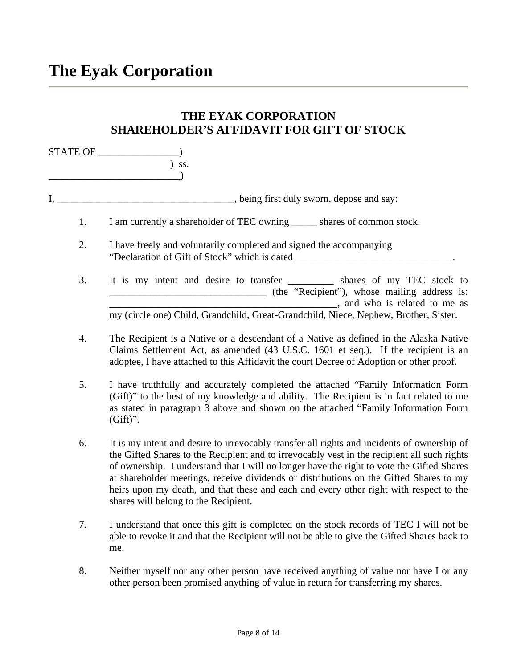### **THE EYAK CORPORATION SHAREHOLDER'S AFFIDAVIT FOR GIFT OF STOCK**

 $\begin{array}{c}\n\text{STATE OF} \quad \text{STATE} \\
\text{STATE} \quad \text{SSE} \quad \text{SSE} \quad \text{SSE} \quad \text{SSE} \quad \text{SSE} \quad \text{SSE} \quad \text{SSE} \quad \text{SSE} \quad \text{SSE} \quad \text{SSE} \quad \text{SSE} \quad \text{SSE} \quad \text{SSE} \quad \text{SSE} \quad \text{SSE} \quad \text{SSE} \quad \text{SSE} \quad \text{SSE} \quad \text{SSE} \quad \text{SSE} \quad \text{SSE} \quad \text{SSE} \quad \text{SSE} \quad \text{$  $\sum$  ss. \_\_\_\_\_\_\_\_\_\_\_\_\_\_\_\_\_\_\_\_\_\_\_\_\_\_)

I, \_\_\_\_\_\_\_\_\_\_\_\_\_\_\_\_\_\_\_\_\_\_\_\_\_\_\_\_\_\_\_\_, being first duly sworn, depose and say:

1. I am currently a shareholder of TEC owning \_\_\_\_\_ shares of common stock.

- 2. I have freely and voluntarily completed and signed the accompanying "Declaration of Gift of Stock" which is dated \_\_\_\_\_\_\_\_\_\_\_\_\_\_\_\_\_\_\_\_\_\_\_\_\_\_\_\_\_\_\_.
- 3. It is my intent and desire to transfer \_\_\_\_\_\_\_\_\_ shares of my TEC stock to \_\_\_\_\_\_\_\_\_\_\_\_\_\_\_\_\_\_\_\_\_\_\_\_\_\_\_\_\_\_\_ (the "Recipient"), whose mailing address is: \_\_\_\_\_\_\_\_\_\_\_\_\_\_\_\_\_\_\_\_\_\_\_\_\_\_\_\_\_\_\_\_\_\_\_\_\_\_\_\_\_\_\_\_\_, and who is related to me as my (circle one) Child, Grandchild, Great-Grandchild, Niece, Nephew, Brother, Sister.
- 4. The Recipient is a Native or a descendant of a Native as defined in the Alaska Native Claims Settlement Act, as amended (43 U.S.C. 1601 et seq.). If the recipient is an adoptee, I have attached to this Affidavit the court Decree of Adoption or other proof.
- 5. I have truthfully and accurately completed the attached "Family Information Form (Gift)" to the best of my knowledge and ability. The Recipient is in fact related to me as stated in paragraph 3 above and shown on the attached "Family Information Form  $(Gift)$ ".
- 6. It is my intent and desire to irrevocably transfer all rights and incidents of ownership of the Gifted Shares to the Recipient and to irrevocably vest in the recipient all such rights of ownership. I understand that I will no longer have the right to vote the Gifted Shares at shareholder meetings, receive dividends or distributions on the Gifted Shares to my heirs upon my death, and that these and each and every other right with respect to the shares will belong to the Recipient.
- 7. I understand that once this gift is completed on the stock records of TEC I will not be able to revoke it and that the Recipient will not be able to give the Gifted Shares back to me.
- 8. Neither myself nor any other person have received anything of value nor have I or any other person been promised anything of value in return for transferring my shares.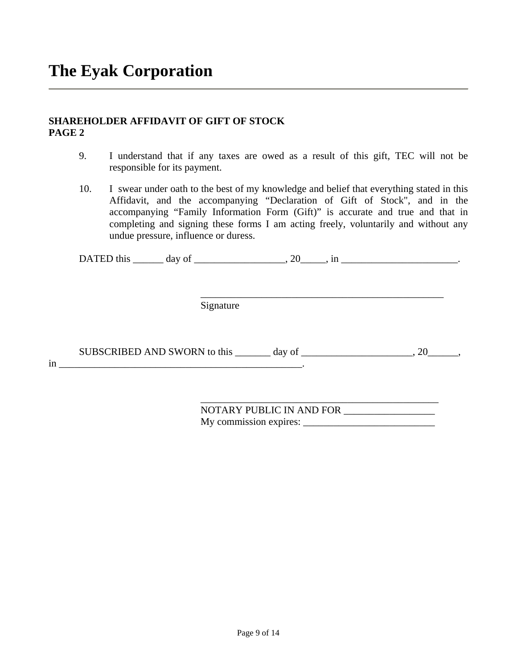#### **SHAREHOLDER AFFIDAVIT OF GIFT OF STOCK PAGE 2**

- 9. I understand that if any taxes are owed as a result of this gift, TEC will not be responsible for its payment.
- 10. I swear under oath to the best of my knowledge and belief that everything stated in this Affidavit, and the accompanying "Declaration of Gift of Stock", and in the accompanying "Family Information Form (Gift)" is accurate and true and that in completing and signing these forms I am acting freely, voluntarily and without any undue pressure, influence or duress.

DATED this  $\qquad \qquad \text{day of} \qquad \qquad , 20 \qquad \text{in} \qquad \qquad .$ 

Signature

SUBSCRIBED AND SWORN to this \_\_\_\_\_\_\_ day of \_\_\_\_\_\_\_\_\_\_\_\_\_\_\_\_\_\_\_\_\_, 20\_\_\_\_\_\_,  $\text{in}$   $\frac{1}{2}$ 

 $\overline{\phantom{a}}$  ,  $\overline{\phantom{a}}$  ,  $\overline{\phantom{a}}$  ,  $\overline{\phantom{a}}$  ,  $\overline{\phantom{a}}$  ,  $\overline{\phantom{a}}$  ,  $\overline{\phantom{a}}$  ,  $\overline{\phantom{a}}$  ,  $\overline{\phantom{a}}$  ,  $\overline{\phantom{a}}$  ,  $\overline{\phantom{a}}$  ,  $\overline{\phantom{a}}$  ,  $\overline{\phantom{a}}$  ,  $\overline{\phantom{a}}$  ,  $\overline{\phantom{a}}$  ,  $\overline{\phantom{a}}$ 

 $\overline{\phantom{a}}$  ,  $\overline{\phantom{a}}$  ,  $\overline{\phantom{a}}$  ,  $\overline{\phantom{a}}$  ,  $\overline{\phantom{a}}$  ,  $\overline{\phantom{a}}$  ,  $\overline{\phantom{a}}$  ,  $\overline{\phantom{a}}$  ,  $\overline{\phantom{a}}$  ,  $\overline{\phantom{a}}$  ,  $\overline{\phantom{a}}$  ,  $\overline{\phantom{a}}$  ,  $\overline{\phantom{a}}$  ,  $\overline{\phantom{a}}$  ,  $\overline{\phantom{a}}$  ,  $\overline{\phantom{a}}$ 

NOTARY PUBLIC IN AND FOR My commission expires: \_\_\_\_\_\_\_\_\_\_\_\_\_\_\_\_\_\_\_\_\_\_\_\_\_\_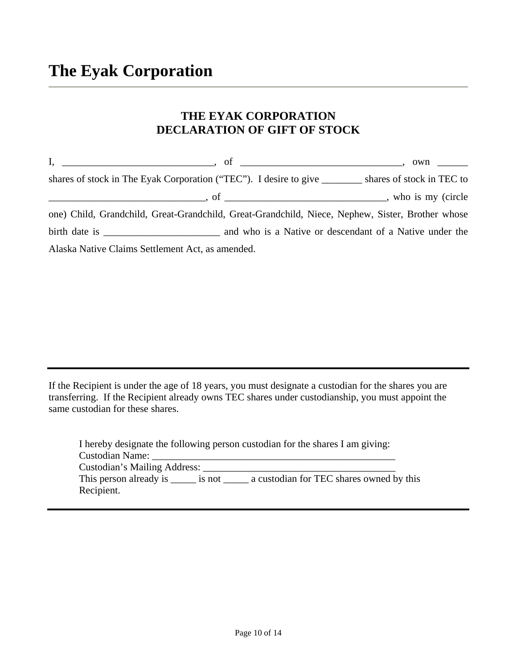### **THE EYAK CORPORATION DECLARATION OF GIFT OF STOCK**

| shares of stock in The Eyak Corporation ("TEC"). I desire to give _________ shares of stock in TEC to |  |
|-------------------------------------------------------------------------------------------------------|--|
|                                                                                                       |  |
| one) Child, Grandchild, Great-Grandchild, Great-Grandchild, Niece, Nephew, Sister, Brother whose      |  |
|                                                                                                       |  |
| Alaska Native Claims Settlement Act, as amended.                                                      |  |

If the Recipient is under the age of 18 years, you must designate a custodian for the shares you are transferring. If the Recipient already owns TEC shares under custodianship, you must appoint the same custodian for these shares.

| I hereby designate the following person custodian for the shares I am giving: |                                          |  |  |
|-------------------------------------------------------------------------------|------------------------------------------|--|--|
| <b>Custodian Name:</b>                                                        |                                          |  |  |
| Custodian's Mailing Address:                                                  |                                          |  |  |
| This person already is _______ is not                                         | a custodian for TEC shares owned by this |  |  |
| Recipient.                                                                    |                                          |  |  |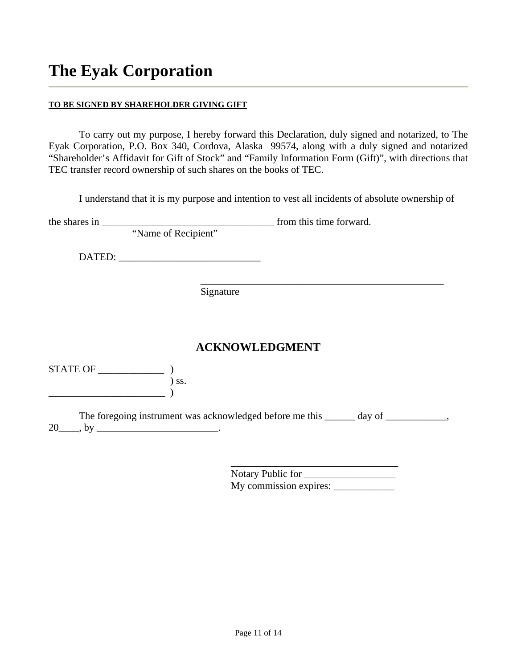#### **TO BE SIGNED BY SHAREHOLDER GIVING GIFT**

To carry out my purpose, I hereby forward this Declaration, duly signed and notarized, to The Eyak Corporation, P.O. Box 340, Cordova, Alaska 99574, along with a duly signed and notarized "Shareholder's Affidavit for Gift of Stock" and "Family Information Form (Gift)", with directions that TEC transfer record ownership of such shares on the books of TEC.

I understand that it is my purpose and intention to vest all incidents of absolute ownership of

|                                                                                                 | the shares in $\frac{1}{\sqrt{1-\frac{1}{2}}}\left\{ \frac{1}{2}, \frac{1}{2}, \frac{1}{2}, \frac{1}{2}, \frac{1}{2}, \frac{1}{2}, \frac{1}{2}, \frac{1}{2}, \frac{1}{2}, \frac{1}{2}, \frac{1}{2}, \frac{1}{2}, \frac{1}{2}, \frac{1}{2}, \frac{1}{2}, \frac{1}{2}, \frac{1}{2}, \frac{1}{2}, \frac{1}{2}, \frac{1}{2}, \frac{1}{2}, \frac{1}{2}, \frac{1}{2}, \frac{1}{2}, \frac{1}{2}, \frac{1}{2}, \frac{1$ | from this time forward.                                                               |  |  |
|-------------------------------------------------------------------------------------------------|-----------------------------------------------------------------------------------------------------------------------------------------------------------------------------------------------------------------------------------------------------------------------------------------------------------------------------------------------------------------------------------------------------------------|---------------------------------------------------------------------------------------|--|--|
|                                                                                                 | "Name of Recipient"                                                                                                                                                                                                                                                                                                                                                                                             |                                                                                       |  |  |
|                                                                                                 |                                                                                                                                                                                                                                                                                                                                                                                                                 |                                                                                       |  |  |
|                                                                                                 | Signature                                                                                                                                                                                                                                                                                                                                                                                                       |                                                                                       |  |  |
|                                                                                                 |                                                                                                                                                                                                                                                                                                                                                                                                                 |                                                                                       |  |  |
|                                                                                                 |                                                                                                                                                                                                                                                                                                                                                                                                                 | <b>ACKNOWLEDGMENT</b>                                                                 |  |  |
| $\begin{minipage}{.4\linewidth} \textbf{STATE OF} \textcolor{red}{\textbf{---}} \end{minipage}$ | ) ss.                                                                                                                                                                                                                                                                                                                                                                                                           |                                                                                       |  |  |
| 20                                                                                              |                                                                                                                                                                                                                                                                                                                                                                                                                 | The foregoing instrument was acknowledged before me this ______ day of _____________, |  |  |

 Notary Public for \_\_\_\_\_\_\_\_\_\_\_\_\_\_\_\_\_\_ My commission expires: \_\_\_\_\_\_\_\_\_\_\_\_

 $\overline{\phantom{a}}$  , where  $\overline{\phantom{a}}$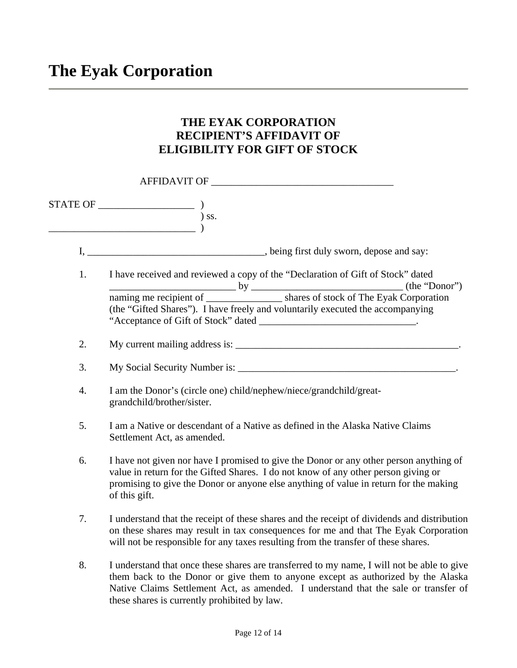# **The Eyak Corporation**

### **THE EYAK CORPORATION RECIPIENT'S AFFIDAVIT OF ELIGIBILITY FOR GIFT OF STOCK**

|    | AFFIDAVIT OF                                                                                                                                                                                                                                                                                                                                                                                                                                                                                                                                                              |
|----|---------------------------------------------------------------------------------------------------------------------------------------------------------------------------------------------------------------------------------------------------------------------------------------------------------------------------------------------------------------------------------------------------------------------------------------------------------------------------------------------------------------------------------------------------------------------------|
|    | $\begin{tabular}{l} \multicolumn{2}{c}{\textbf{STATE OF}} \hspace{1.0cm} & \hspace{1.0cm} \multicolumn{2}{c}{\textbf{\textcolor{blue}{\bf \textcolor{blue}{\bf \textcolor{blue}{\bf \textcolor{blue}{\bf \textcolor{blue}{\bf \textcolor{blue}{\bf \textcolor{blue}{\bf \textcolor{blue}{\bf \textcolor{blue}{\bf \textcolor{blue}{\bf \textcolor{blue}{\bf \textcolor{blue}{\bf \textcolor{blue}{\bf \textcolor{blue}{\bf \textcolor{blue}{\bf \textcolor{blue}{\bf \textcolor{blue}{\bf \textcolor{blue}{\bf \textcolor{blue}{\bf \textcolor{blue}{\bf \textcolor{blue$ |
|    |                                                                                                                                                                                                                                                                                                                                                                                                                                                                                                                                                                           |
| 1. | I have received and reviewed a copy of the "Declaration of Gift of Stock" dated<br>(the "Gifted Shares"). I have freely and voluntarily executed the accompanying                                                                                                                                                                                                                                                                                                                                                                                                         |
| 2. |                                                                                                                                                                                                                                                                                                                                                                                                                                                                                                                                                                           |
| 3. |                                                                                                                                                                                                                                                                                                                                                                                                                                                                                                                                                                           |
| 4. | I am the Donor's (circle one) child/nephew/niece/grandchild/great-<br>grandchild/brother/sister.                                                                                                                                                                                                                                                                                                                                                                                                                                                                          |
| 5. | I am a Native or descendant of a Native as defined in the Alaska Native Claims<br>Settlement Act, as amended.                                                                                                                                                                                                                                                                                                                                                                                                                                                             |
| 6. | I have not given nor have I promised to give the Donor or any other person anything of<br>value in return for the Gifted Shares. I do not know of any other person giving or<br>promising to give the Donor or anyone else anything of value in return for the making<br>of this gift.                                                                                                                                                                                                                                                                                    |
| 7. | I understand that the receipt of these shares and the receipt of dividends and distribution<br>on these shares may result in tax consequences for me and that The Eyak Corporation<br>will not be responsible for any taxes resulting from the transfer of these shares.                                                                                                                                                                                                                                                                                                  |
| 8. | I understand that once these shares are transferred to my name, I will not be able to give<br>them back to the Donor or give them to anyone except as authorized by the Alaska<br>Native Claims Settlement Act, as amended. I understand that the sale or transfer of                                                                                                                                                                                                                                                                                                     |

these shares is currently prohibited by law.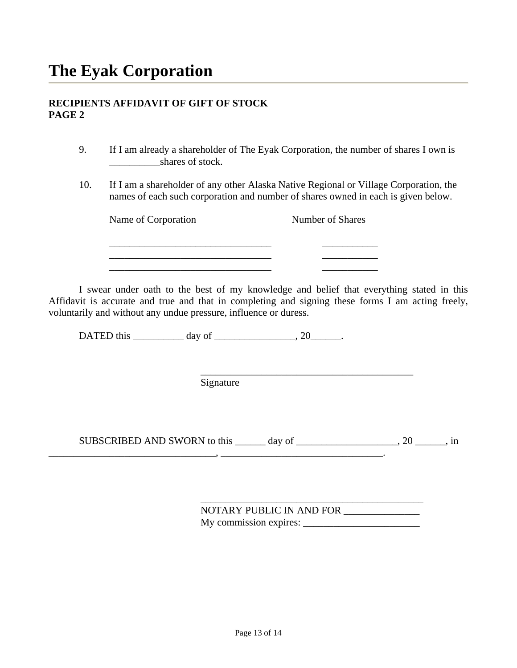#### **RECIPIENTS AFFIDAVIT OF GIFT OF STOCK PAGE 2**

- 9. If I am already a shareholder of The Eyak Corporation, the number of shares I own is shares of stock.
- 10. If I am a shareholder of any other Alaska Native Regional or Village Corporation, the names of each such corporation and number of shares owned in each is given below.

Name of Corporation Number of Shares

 I swear under oath to the best of my knowledge and belief that everything stated in this Affidavit is accurate and true and that in completing and signing these forms I am acting freely, voluntarily and without any undue pressure, influence or duress.

DATED this  $\_\_\_\_\_\_\_\$  day of  $\_\_\_\_\_\_\_\_\_\_\.\$ 

 \_\_\_\_\_\_\_\_\_\_\_\_\_\_\_\_\_\_\_\_\_\_\_\_\_\_\_\_\_\_\_\_ \_\_\_\_\_\_\_\_\_\_\_ \_\_\_\_\_\_\_\_\_\_\_\_\_\_\_\_\_\_\_\_\_\_\_\_\_\_\_\_\_\_\_\_ \_\_\_\_\_\_\_\_\_\_\_  $\overline{\phantom{a}}$  ,  $\overline{\phantom{a}}$  ,  $\overline{\phantom{a}}$  ,  $\overline{\phantom{a}}$  ,  $\overline{\phantom{a}}$  ,  $\overline{\phantom{a}}$  ,  $\overline{\phantom{a}}$  ,  $\overline{\phantom{a}}$  ,  $\overline{\phantom{a}}$  ,  $\overline{\phantom{a}}$  ,  $\overline{\phantom{a}}$  ,  $\overline{\phantom{a}}$  ,  $\overline{\phantom{a}}$  ,  $\overline{\phantom{a}}$  ,  $\overline{\phantom{a}}$  ,  $\overline{\phantom{a}}$ 

 $\overline{\phantom{a}}$  , and the contract of the contract of the contract of the contract of the contract of the contract of the contract of the contract of the contract of the contract of the contract of the contract of the contrac Signature

SUBSCRIBED AND SWORN to this \_\_\_\_\_\_ day of \_\_\_\_\_\_\_\_\_\_\_\_\_\_\_\_\_, 20 \_\_\_\_\_\_, in  $\mathcal{L}_\mathcal{L} = \{ \mathcal{L}_\mathcal{L} = \mathcal{L}_\mathcal{L} \}$  , where  $\mathcal{L}_\mathcal{L} = \{ \mathcal{L}_\mathcal{L} = \mathcal{L}_\mathcal{L} \}$ 

 $\overline{\phantom{a}}$  ,  $\overline{\phantom{a}}$  ,  $\overline{\phantom{a}}$  ,  $\overline{\phantom{a}}$  ,  $\overline{\phantom{a}}$  ,  $\overline{\phantom{a}}$  ,  $\overline{\phantom{a}}$  ,  $\overline{\phantom{a}}$  ,  $\overline{\phantom{a}}$  ,  $\overline{\phantom{a}}$  ,  $\overline{\phantom{a}}$  ,  $\overline{\phantom{a}}$  ,  $\overline{\phantom{a}}$  ,  $\overline{\phantom{a}}$  ,  $\overline{\phantom{a}}$  ,  $\overline{\phantom{a}}$  NOTARY PUBLIC IN AND FOR \_\_\_\_\_\_\_\_\_\_\_\_\_\_\_ My commission expires: \_\_\_\_\_\_\_\_\_\_\_\_\_\_\_\_\_\_\_\_\_\_\_